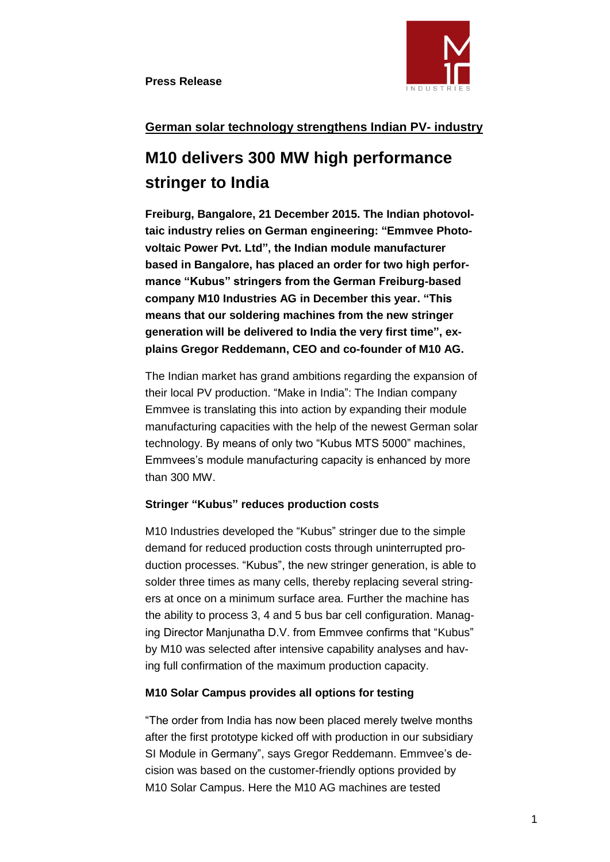

# **German solar technology strengthens Indian PV- industry**

# **M10 delivers 300 MW high performance stringer to India**

**Freiburg, Bangalore, 21 December 2015. The Indian photovoltaic industry relies on German engineering: "Emmvee Photovoltaic Power Pvt. Ltd", the Indian module manufacturer based in Bangalore, has placed an order for two high performance "Kubus" stringers from the German Freiburg-based company M10 Industries AG in December this year. "This means that our soldering machines from the new stringer generation will be delivered to India the very first time", explains Gregor Reddemann, CEO and co-founder of M10 AG.** 

The Indian market has grand ambitions regarding the expansion of their local PV production. "Make in India": The Indian company Emmvee is translating this into action by expanding their module manufacturing capacities with the help of the newest German solar technology. By means of only two "Kubus MTS 5000" machines, Emmvees's module manufacturing capacity is enhanced by more than 300 MW.

## **Stringer "Kubus" reduces production costs**

M10 Industries developed the "Kubus" stringer due to the simple demand for reduced production costs through uninterrupted production processes. "Kubus", the new stringer generation, is able to solder three times as many cells, thereby replacing several stringers at once on a minimum surface area. Further the machine has the ability to process 3, 4 and 5 bus bar cell configuration. Managing Director Manjunatha D.V. from Emmvee confirms that "Kubus" by M10 was selected after intensive capability analyses and having full confirmation of the maximum production capacity.

#### **M10 Solar Campus provides all options for testing**

"The order from India has now been placed merely twelve months after the first prototype kicked off with production in our subsidiary SI Module in Germany", says Gregor Reddemann. Emmvee's decision was based on the customer-friendly options provided by M10 Solar Campus. Here the M10 AG machines are tested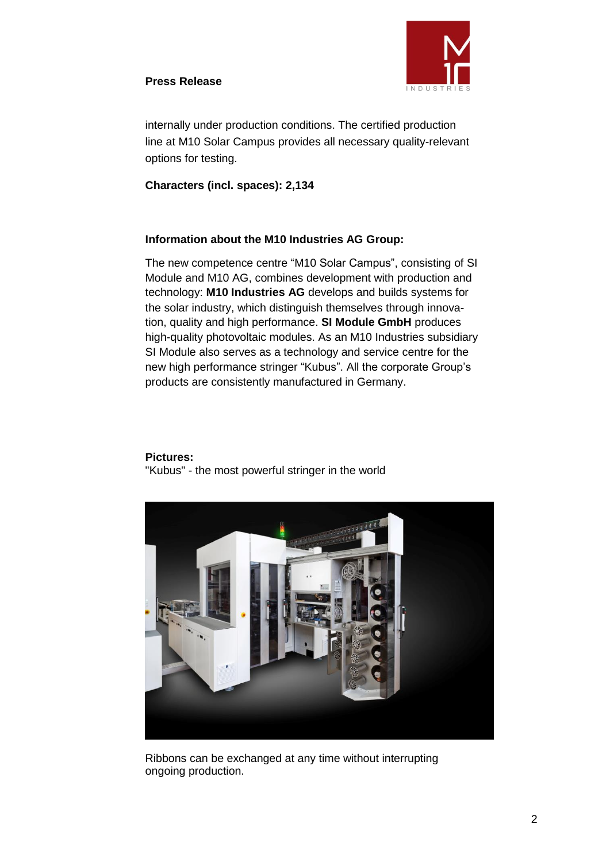## **Press Release**



internally under production conditions. The certified production line at M10 Solar Campus provides all necessary quality-relevant options for testing.

## **Characters (incl. spaces): 2,134**

## **Information about the M10 Industries AG Group:**

The new competence centre "M10 Solar Campus", consisting of SI Module and M10 AG, combines development with production and technology: **M10 Industries AG** develops and builds systems for the solar industry, which distinguish themselves through innovation, quality and high performance. **SI Module GmbH** produces high-quality photovoltaic modules. As an M10 Industries subsidiary SI Module also serves as a technology and service centre for the new high performance stringer "Kubus". All the corporate Group's products are consistently manufactured in Germany.

#### **Pictures:**

"Kubus" - the most powerful stringer in the world



Ribbons can be exchanged at any time without interrupting ongoing production.